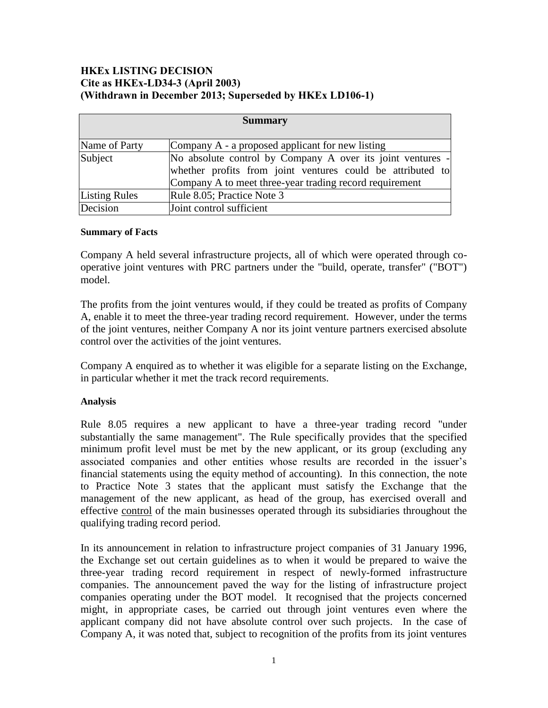## **HKEx LISTING DECISION Cite as HKEx-LD34-3 (April 2003) (Withdrawn in December 2013; Superseded by HKEx LD106-1)**

| <b>Summary</b>       |                                                            |
|----------------------|------------------------------------------------------------|
| Name of Party        | Company A - a proposed applicant for new listing           |
| Subject              | No absolute control by Company A over its joint ventures - |
|                      | whether profits from joint ventures could be attributed to |
|                      | Company A to meet three-year trading record requirement    |
| <b>Listing Rules</b> | Rule 8.05; Practice Note 3                                 |
| Decision             | Joint control sufficient                                   |

## **Summary of Facts**

Company A held several infrastructure projects, all of which were operated through cooperative joint ventures with PRC partners under the "build, operate, transfer" ("BOT") model.

The profits from the joint ventures would, if they could be treated as profits of Company A, enable it to meet the three-year trading record requirement. However, under the terms of the joint ventures, neither Company A nor its joint venture partners exercised absolute control over the activities of the joint ventures.

Company A enquired as to whether it was eligible for a separate listing on the Exchange, in particular whether it met the track record requirements.

## **Analysis**

Rule 8.05 requires a new applicant to have a three-year trading record "under substantially the same management". The Rule specifically provides that the specified minimum profit level must be met by the new applicant, or its group (excluding any associated companies and other entities whose results are recorded in the issuer's financial statements using the equity method of accounting). In this connection, the note to Practice Note 3 states that the applicant must satisfy the Exchange that the management of the new applicant, as head of the group, has exercised overall and effective control of the main businesses operated through its subsidiaries throughout the qualifying trading record period.

In its announcement in relation to infrastructure project companies of 31 January 1996, the Exchange set out certain guidelines as to when it would be prepared to waive the three-year trading record requirement in respect of newly-formed infrastructure companies. The announcement paved the way for the listing of infrastructure project companies operating under the BOT model. It recognised that the projects concerned might, in appropriate cases, be carried out through joint ventures even where the applicant company did not have absolute control over such projects. In the case of Company A, it was noted that, subject to recognition of the profits from its joint ventures